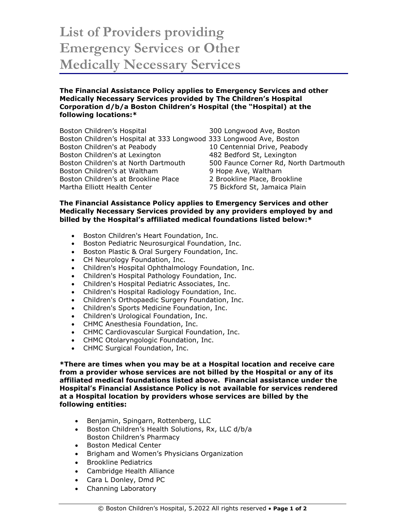## **List of Providers providing Emergency Services or Other Medically Necessary Services**

## **The Financial Assistance Policy applies to Emergency Services and other Medically Necessary Services provided by The Children's Hospital Corporation d/b/a Boston Children's Hospital (the "Hospital) at the following locations:\***

Boston Children's Hospital 300 Longwood Ave, Boston Boston Children's Hospital at 333 Longwood 333 Longwood Ave, Boston Boston Children's at Peabody 10 Centennial Drive, Peabody Boston Children's at Lexington 482 Bedford St, Lexington Boston Children's at North Dartmouth 500 Faunce Corner Rd, North Dartmouth Boston Children's at Waltham 9 Hope Ave, Waltham Boston Children's at Brookline Place 2 Brookline Place, Brookline Martha Elliott Health Center 75 Bickford St, Jamaica Plain

## **The Financial Assistance Policy applies to Emergency Services and other Medically Necessary Services provided by any providers employed by and billed by the Hospital's affiliated medical foundations listed below:\***

- Boston Children's Heart Foundation, Inc.
- Boston Pediatric Neurosurgical Foundation, Inc.
- Boston Plastic & Oral Surgery Foundation, Inc.
- CH Neurology Foundation, Inc.
- Children's Hospital Ophthalmology Foundation, Inc.
- Children's Hospital Pathology Foundation, Inc.
- Children's Hospital Pediatric Associates, Inc.
- Children's Hospital Radiology Foundation, Inc.
- Children's Orthopaedic Surgery Foundation, Inc.
- Children's Sports Medicine Foundation, Inc.
- Children's Urological Foundation, Inc.
- CHMC Anesthesia Foundation, Inc.
- CHMC Cardiovascular Surgical Foundation, Inc.
- CHMC Otolaryngologic Foundation, Inc.
- CHMC Surgical Foundation, Inc.

**\*There are times when you may be at a Hospital location and receive care from a provider whose services are not billed by the Hospital or any of its affiliated medical foundations listed above. Financial assistance under the Hospital's Financial Assistance Policy is not available for services rendered at a Hospital location by providers whose services are billed by the following entities:** 

- Benjamin, Spingarn, Rottenberg, LLC
- Boston Children's Health Solutions, Rx, LLC d/b/a Boston Children's Pharmacy
- Boston Medical Center
- Brigham and Women's Physicians Organization
- Brookline Pediatrics
- Cambridge Health Alliance
- Cara L Donley, Dmd PC
- Channing Laboratory